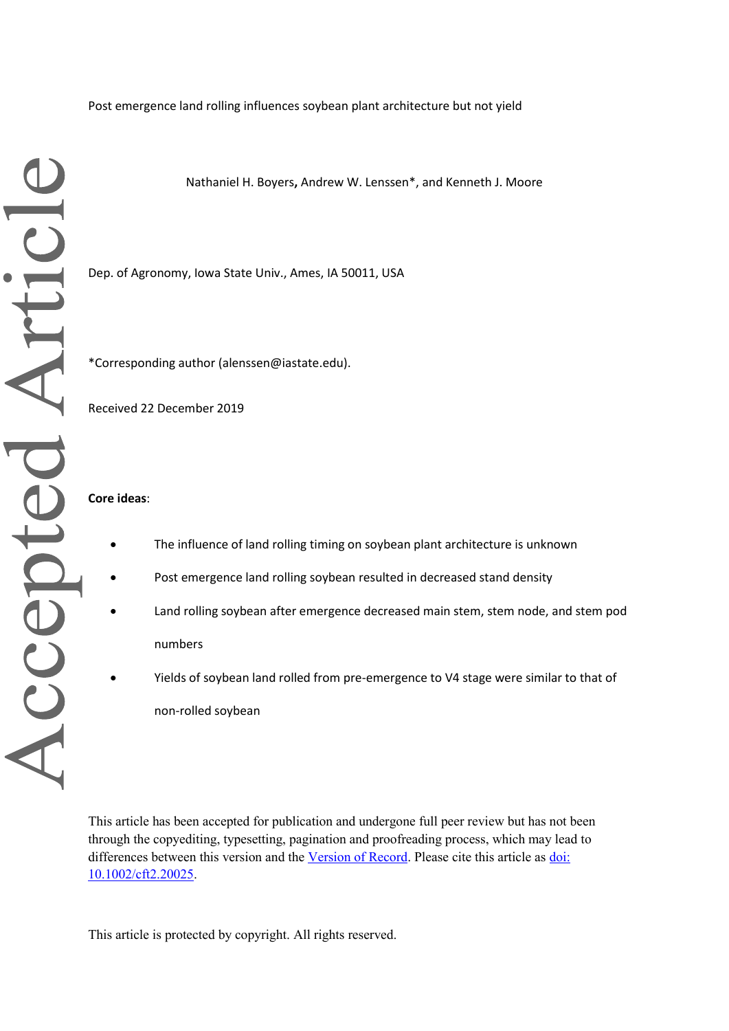Post emergence land rolling influences soybean plant architecture but not yield

Nathaniel H. Boyers**,** Andrew W. Lenssen\*, and Kenneth J. Moore

Dep. of Agronomy, Iowa State Univ., Ames, IA 50011, USA

\*Corresponding author (alenssen@iastate.edu).

Received 22 December 2019

## **Core ideas**:

- The influence of land rolling timing on soybean plant architecture is unknown
- Post emergence land rolling soybean resulted in decreased stand density
- Land rolling soybean after emergence decreased main stem, stem node, and stem pod numbers
- Yields of soybean land rolled from pre-emergence to V4 stage were similar to that of non-rolled soybean

This article has been accepted for publication and undergone full peer review but has not been through the copyediting, typesetting, pagination and proofreading process, which may lead to differences between this version and the [Version of Record.](https://doi.org/10.1002/cft2.20025) Please cite this article as [doi:](https://doi.org/10.1002/cft2.20025)  [10.1002/cft2.20025.](https://doi.org/10.1002/cft2.20025)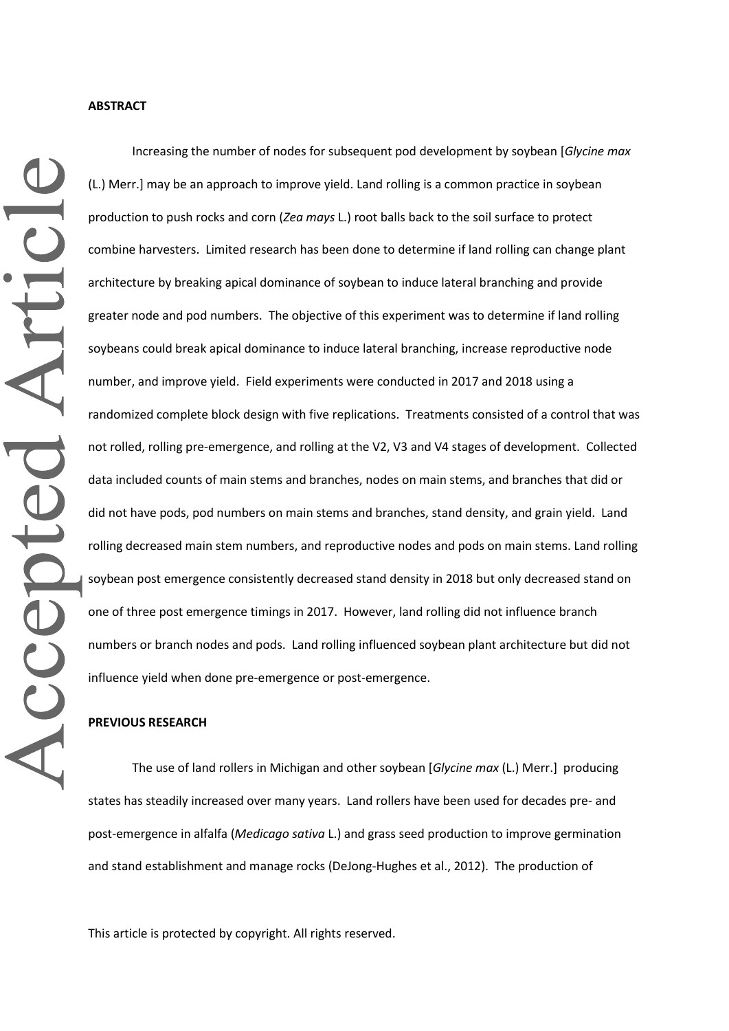Increasing the number of nodes for subsequent pod development by soybean [*Glycine max*  (L.) Merr.] may be an approach to improve yield. Land rolling is a common practice in soybean production to push rocks and corn (*Zea mays* L.) root balls back to the soil surface to protect combine harvesters. Limited research has been done to determine if land rolling can change plant architecture by breaking apical dominance of soybean to induce lateral branching and provide greater node and pod numbers. The objective of this experiment was to determine if land rolling soybeans could break apical dominance to induce lateral branching, increase reproductive node number, and improve yield. Field experiments were conducted in 2017 and 2018 using a randomized complete block design with five replications. Treatments consisted of a control that was not rolled, rolling pre-emergence, and rolling at the V2, V3 and V4 stages of development. Collected data included counts of main stems and branches, nodes on main stems, and branches that did or did not have pods, pod numbers on main stems and branches, stand density, and grain yield. Land rolling decreased main stem numbers, and reproductive nodes and pods on main stems. Land rolling soybean post emergence consistently decreased stand density in 2018 but only decreased stand on one of three post emergence timings in 2017. However, land rolling did not influence branch numbers or branch nodes and pods. Land rolling influenced soybean plant architecture but did not influence yield when done pre-emergence or post-emergence.

### **PREVIOUS RESEARCH**

The use of land rollers in Michigan and other soybean [*Glycine max* (L.) Merr.] producing states has steadily increased over many years. Land rollers have been used for decades pre- and post-emergence in alfalfa (*Medicago sativa* L.) and grass seed production to improve germination and stand establishment and manage rocks (DeJong-Hughes et al., 2012). The production of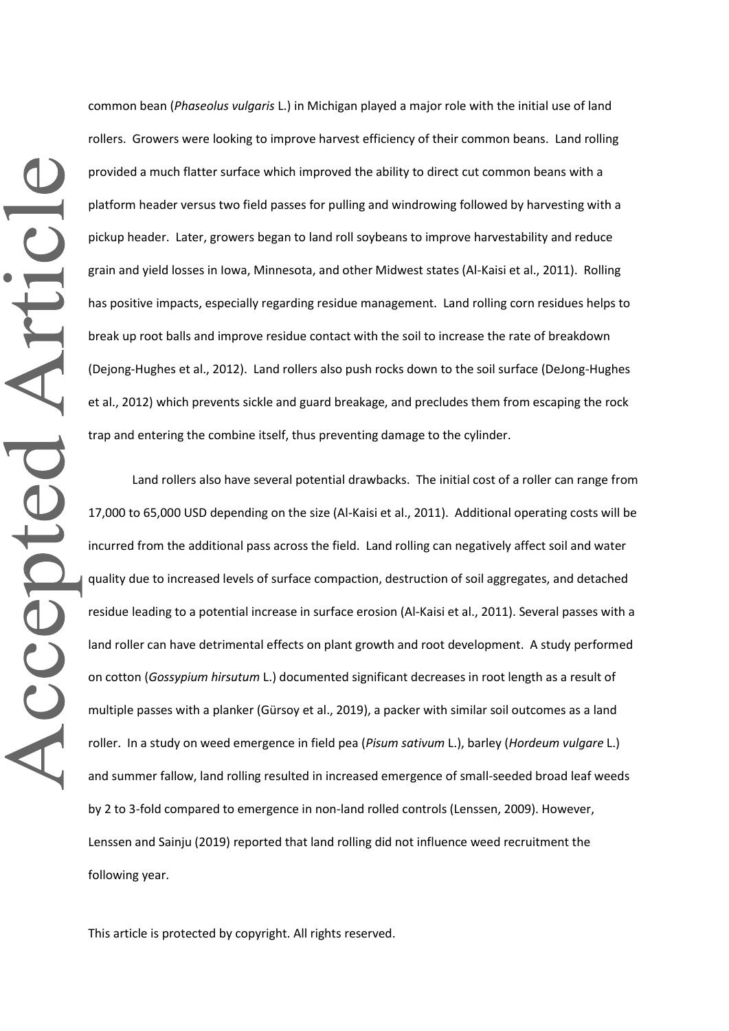common bean (*Phaseolus vulgaris* L.) in Michigan played a major role with the initial use of land rollers. Growers were looking to improve harvest efficiency of their common beans. Land rolling provided a much flatter surface which improved the ability to direct cut common beans with a platform header versus two field passes for pulling and windrowing followed by harvesting with a pickup header. Later, growers began to land roll soybeans to improve harvestability and reduce grain and yield losses in Iowa, Minnesota, and other Midwest states (Al-Kaisi et al., 2011). Rolling has positive impacts, especially regarding residue management. Land rolling corn residues helps to break up root balls and improve residue contact with the soil to increase the rate of breakdown (Dejong-Hughes et al., 2012). Land rollers also push rocks down to the soil surface (DeJong-Hughes et al., 2012) which prevents sickle and guard breakage, and precludes them from escaping the rock trap and entering the combine itself, thus preventing damage to the cylinder.

Land rollers also have several potential drawbacks. The initial cost of a roller can range from 17,000 to 65,000 USD depending on the size (Al-Kaisi et al., 2011). Additional operating costs will be incurred from the additional pass across the field. Land rolling can negatively affect soil and water quality due to increased levels of surface compaction, destruction of soil aggregates, and detached residue leading to a potential increase in surface erosion (Al-Kaisi et al., 2011). Several passes with a land roller can have detrimental effects on plant growth and root development. A study performed on cotton (*Gossypium hirsutum* L.) documented significant decreases in root length as a result of multiple passes with a planker (Gürsoy et al., 2019), a packer with similar soil outcomes as a land roller. In a study on weed emergence in field pea (*Pisum sativum* L.), barley (*Hordeum vulgare* L.) and summer fallow, land rolling resulted in increased emergence of small-seeded broad leaf weeds by 2 to 3-fold compared to emergence in non-land rolled controls (Lenssen, 2009). However, Lenssen and Sainju (2019) reported that land rolling did not influence weed recruitment the following year.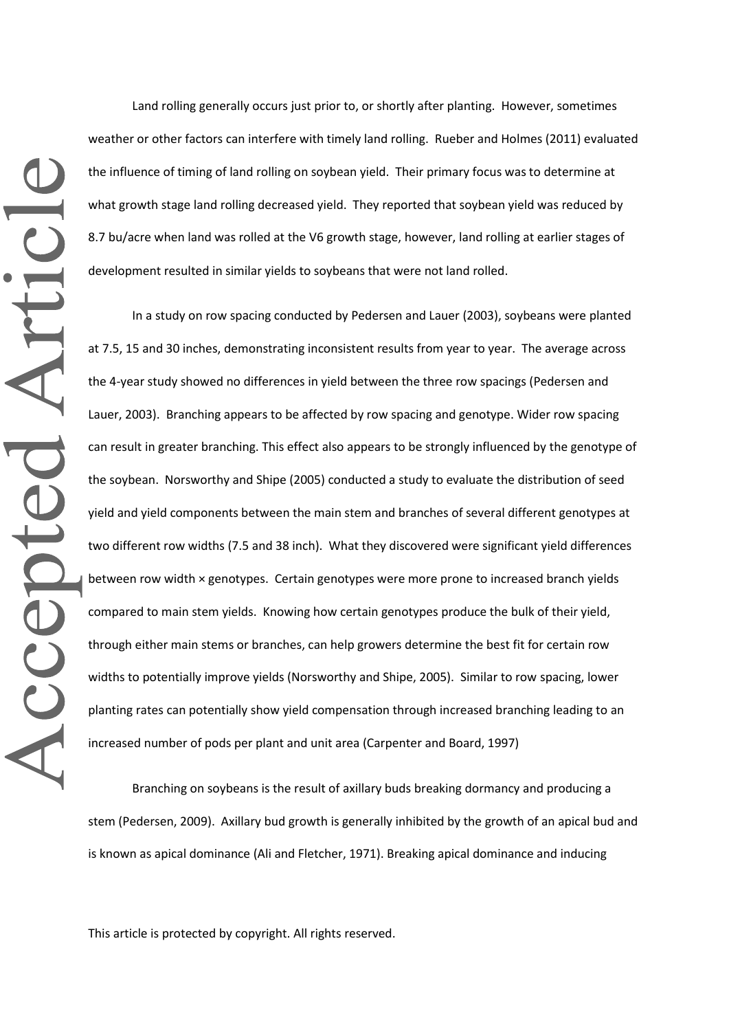Land rolling generally occurs just prior to, or shortly after planting. However, sometimes weather or other factors can interfere with timely land rolling. Rueber and Holmes (2011) evaluated the influence of timing of land rolling on soybean yield. Their primary focus was to determine at what growth stage land rolling decreased yield. They reported that soybean yield was reduced by 8.7 bu/acre when land was rolled at the V6 growth stage, however, land rolling at earlier stages of development resulted in similar yields to soybeans that were not land rolled.

In a study on row spacing conducted by Pedersen and Lauer (2003), soybeans were planted at 7.5, 15 and 30 inches, demonstrating inconsistent results from year to year. The average across the 4-year study showed no differences in yield between the three row spacings (Pedersen and Lauer, 2003). Branching appears to be affected by row spacing and genotype. Wider row spacing can result in greater branching. This effect also appears to be strongly influenced by the genotype of the soybean. Norsworthy and Shipe (2005) conducted a study to evaluate the distribution of seed yield and yield components between the main stem and branches of several different genotypes at two different row widths (7.5 and 38 inch). What they discovered were significant yield differences between row width × genotypes. Certain genotypes were more prone to increased branch yields compared to main stem yields. Knowing how certain genotypes produce the bulk of their yield, through either main stems or branches, can help growers determine the best fit for certain row widths to potentially improve yields (Norsworthy and Shipe, 2005). Similar to row spacing, lower planting rates can potentially show yield compensation through increased branching leading to an increased number of pods per plant and unit area (Carpenter and Board, 1997)

Branching on soybeans is the result of axillary buds breaking dormancy and producing a stem (Pedersen, 2009). Axillary bud growth is generally inhibited by the growth of an apical bud and is known as apical dominance (Ali and Fletcher, 1971). Breaking apical dominance and inducing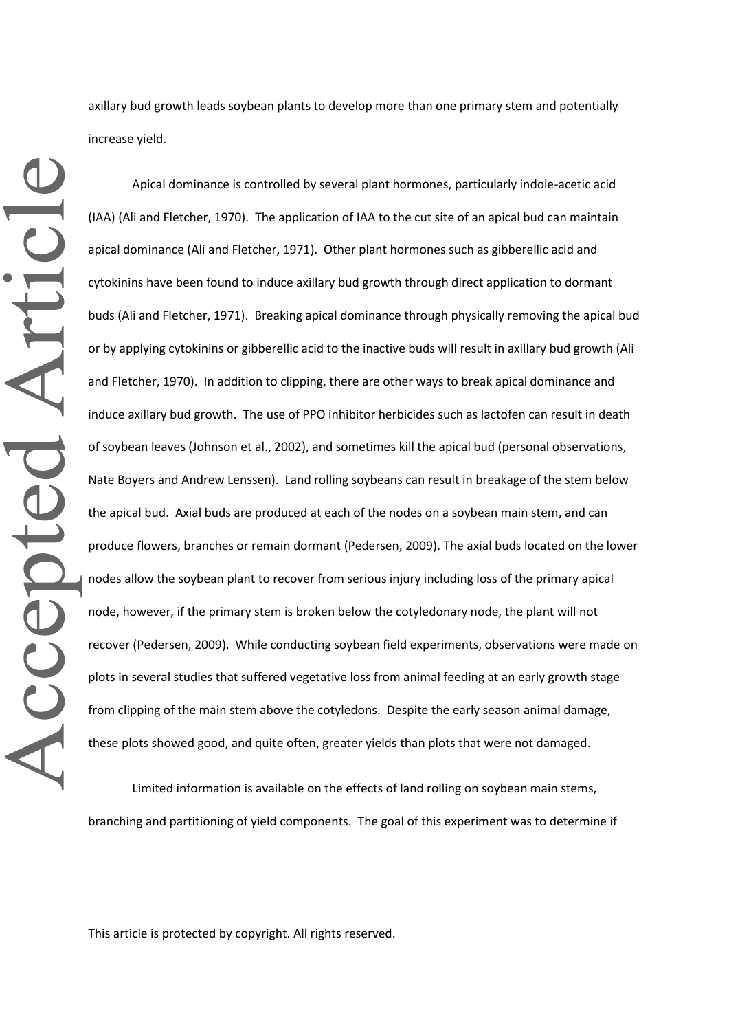axillary bud growth leads soybean plants to develop more than one primary stem and potentially increase yield.

Apical dominance is controlled by several plant hormones, particularly indole-acetic acid (IAA) (Ali and Fletcher, 1970). The application of IAA to the cut site of an apical bud can maintain apical dominance (Ali and Fletcher, 1971). Other plant hormones such as gibberellic acid and cytokinins have been found to induce axillary bud growth through direct application to dormant buds (Ali and Fletcher, 1971). Breaking apical dominance through physically removing the apical bud or by applying cytokinins or gibberellic acid to the inactive buds will result in axillary bud growth (Ali and Fletcher, 1970). In addition to clipping, there are other ways to break apical dominance and induce axillary bud growth. The use of PPO inhibitor herbicides such as lactofen can result in death of soybean leaves (Johnson et al., 2002), and sometimes kill the apical bud (personal observations, Nate Boyers and Andrew Lenssen). Land rolling soybeans can result in breakage of the stem below the apical bud. Axial buds are produced at each of the nodes on a soybean main stem, and can produce flowers, branches or remain dormant (Pedersen, 2009). The axial buds located on the lower nodes allow the soybean plant to recover from serious injury including loss of the primary apical node, however, if the primary stem is broken below the cotyledonary node, the plant will not recover (Pedersen, 2009). While conducting soybean field experiments, observations were made on plots in several studies that suffered vegetative loss from animal feeding at an early growth stage from clipping of the main stem above the cotyledons. Despite the early season animal damage, these plots showed good, and quite often, greater yields than plots that were not damaged.

Limited information is available on the effects of land rolling on soybean main stems, branching and partitioning of yield components. The goal of this experiment was to determine if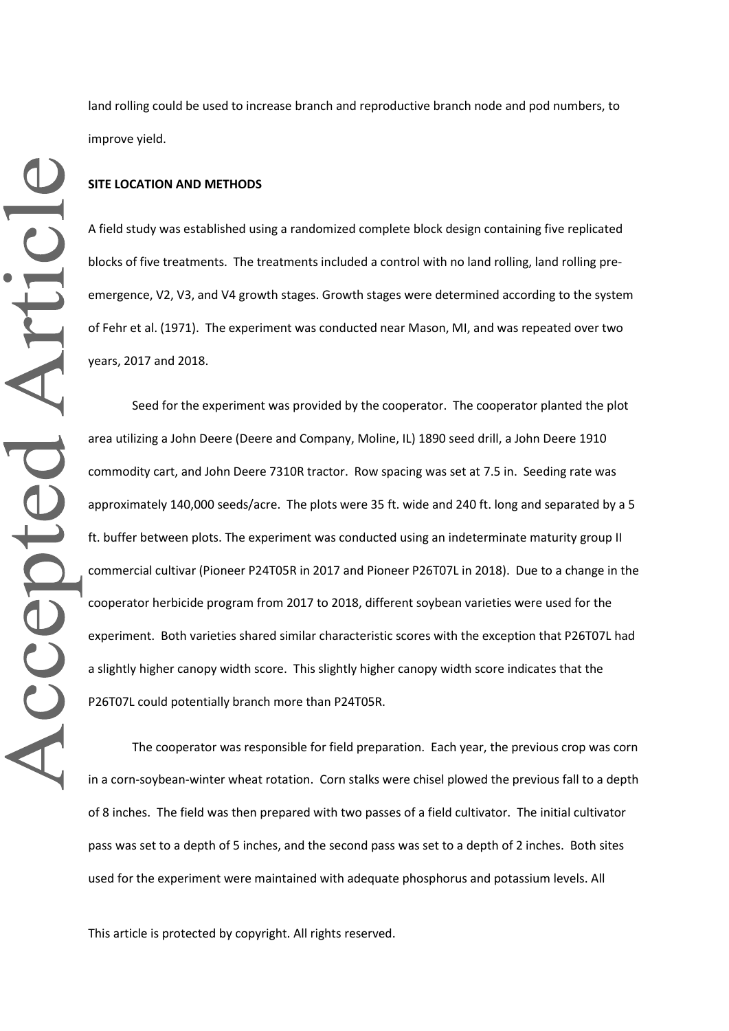land rolling could be used to increase branch and reproductive branch node and pod numbers, to improve yield.

### **SITE LOCATION AND METHODS**

A field study was established using a randomized complete block design containing five replicated blocks of five treatments. The treatments included a control with no land rolling, land rolling preemergence, V2, V3, and V4 growth stages. Growth stages were determined according to the system of Fehr et al. (1971). The experiment was conducted near Mason, MI, and was repeated over two years, 2017 and 2018.

Seed for the experiment was provided by the cooperator. The cooperator planted the plot area utilizing a John Deere (Deere and Company, Moline, IL) 1890 seed drill, a John Deere 1910 commodity cart, and John Deere 7310R tractor. Row spacing was set at 7.5 in. Seeding rate was approximately 140,000 seeds/acre. The plots were 35 ft. wide and 240 ft. long and separated by a 5 ft. buffer between plots. The experiment was conducted using an indeterminate maturity group II commercial cultivar (Pioneer P24T05R in 2017 and Pioneer P26T07L in 2018). Due to a change in the cooperator herbicide program from 2017 to 2018, different soybean varieties were used for the experiment. Both varieties shared similar characteristic scores with the exception that P26T07L had a slightly higher canopy width score. This slightly higher canopy width score indicates that the P26T07L could potentially branch more than P24T05R.

The cooperator was responsible for field preparation. Each year, the previous crop was corn in a corn-soybean-winter wheat rotation. Corn stalks were chisel plowed the previous fall to a depth of 8 inches. The field was then prepared with two passes of a field cultivator. The initial cultivator pass was set to a depth of 5 inches, and the second pass was set to a depth of 2 inches. Both sites used for the experiment were maintained with adequate phosphorus and potassium levels. All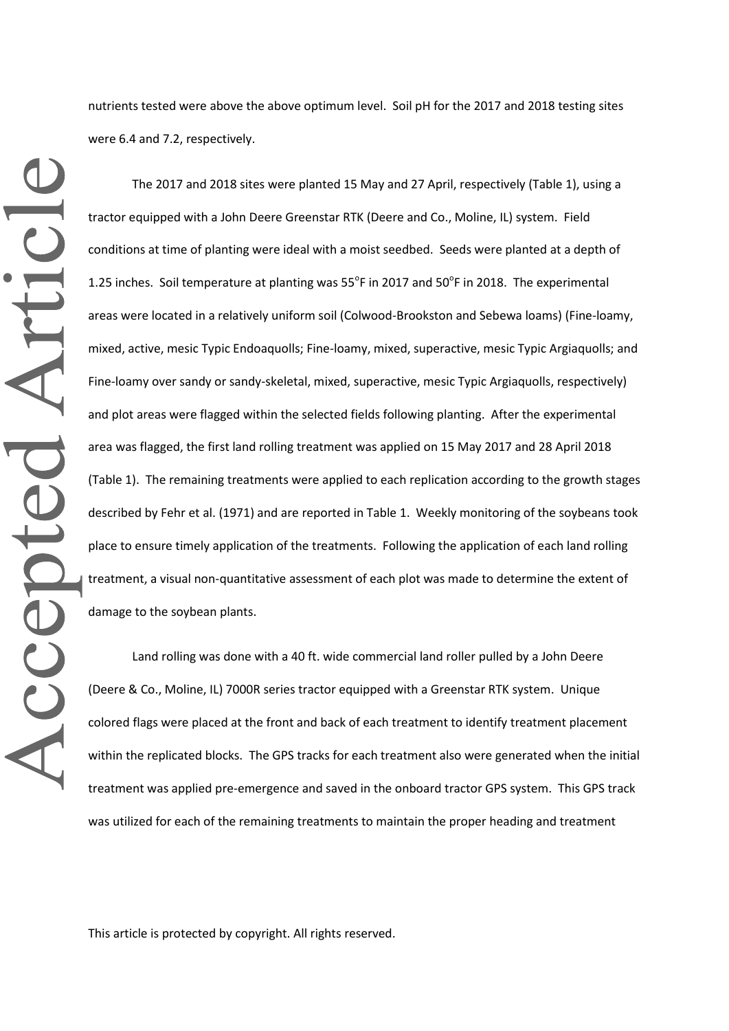nutrients tested were above the above optimum level. Soil pH for the 2017 and 2018 testing sites were 6.4 and 7.2, respectively.

The 2017 and 2018 sites were planted 15 May and 27 April, respectively (Table 1), using a tractor equipped with a John Deere Greenstar RTK (Deere and Co., Moline, IL) system. Field conditions at time of planting were ideal with a moist seedbed. Seeds were planted at a depth of 1.25 inches. Soil temperature at planting was  $55^{\circ}$ F in 2017 and  $50^{\circ}$ F in 2018. The experimental areas were located in a relatively uniform soil (Colwood-Brookston and Sebewa loams) (Fine-loamy, mixed, active, mesic Typic Endoaquolls; Fine-loamy, mixed, superactive, mesic Typic Argiaquolls; and Fine-loamy over sandy or sandy-skeletal, mixed, superactive, mesic Typic Argiaquolls, respectively) and plot areas were flagged within the selected fields following planting. After the experimental area was flagged, the first land rolling treatment was applied on 15 May 2017 and 28 April 2018 (Table 1). The remaining treatments were applied to each replication according to the growth stages described by Fehr et al. (1971) and are reported in Table 1. Weekly monitoring of the soybeans took place to ensure timely application of the treatments. Following the application of each land rolling treatment, a visual non-quantitative assessment of each plot was made to determine the extent of damage to the soybean plants.

Land rolling was done with a 40 ft. wide commercial land roller pulled by a John Deere (Deere & Co., Moline, IL) 7000R series tractor equipped with a Greenstar RTK system. Unique colored flags were placed at the front and back of each treatment to identify treatment placement within the replicated blocks. The GPS tracks for each treatment also were generated when the initial treatment was applied pre-emergence and saved in the onboard tractor GPS system. This GPS track was utilized for each of the remaining treatments to maintain the proper heading and treatment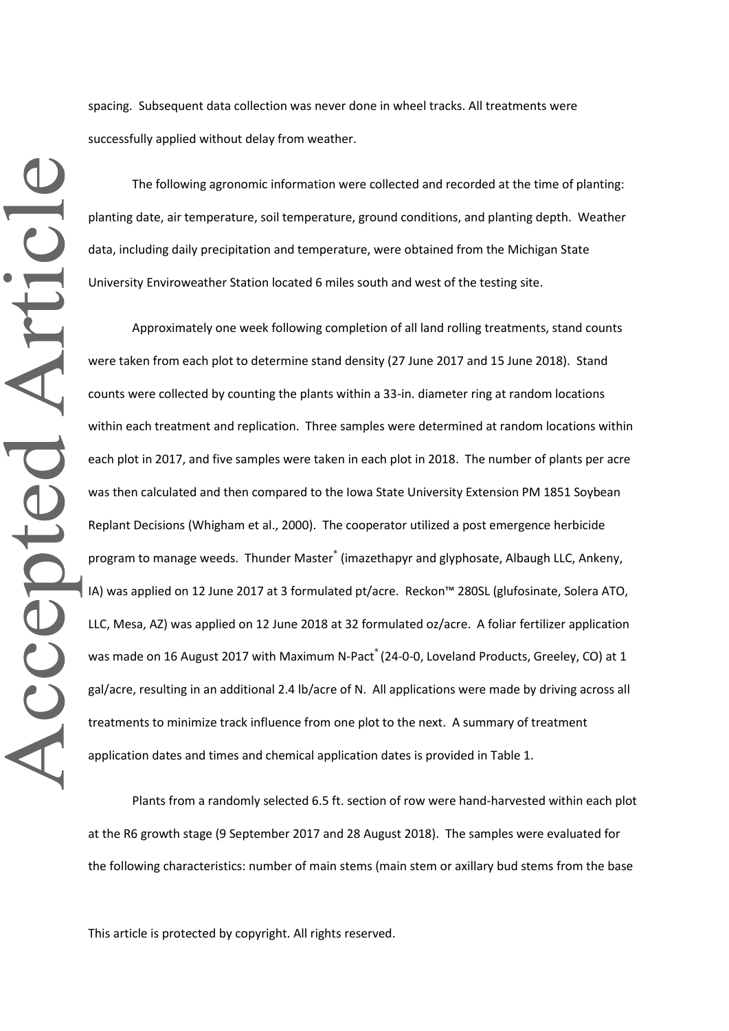spacing. Subsequent data collection was never done in wheel tracks. All treatments were successfully applied without delay from weather.

The following agronomic information were collected and recorded at the time of planting: planting date, air temperature, soil temperature, ground conditions, and planting depth. Weather data, including daily precipitation and temperature, were obtained from the Michigan State University Enviroweather Station located 6 miles south and west of the testing site.

Approximately one week following completion of all land rolling treatments, stand counts were taken from each plot to determine stand density (27 June 2017 and 15 June 2018). Stand counts were collected by counting the plants within a 33-in. diameter ring at random locations within each treatment and replication. Three samples were determined at random locations within each plot in 2017, and five samples were taken in each plot in 2018. The number of plants per acre was then calculated and then compared to the Iowa State University Extension PM 1851 Soybean Replant Decisions (Whigham et al., 2000). The cooperator utilized a post emergence herbicide program to manage weeds. Thunder Master® (imazethapyr and glyphosate, Albaugh LLC, Ankeny, IA) was applied on 12 June 2017 at 3 formulated pt/acre. Reckon™ 280SL (glufosinate, Solera ATO, LLC, Mesa, AZ) was applied on 12 June 2018 at 32 formulated oz/acre. A foliar fertilizer application was made on 16 August 2017 with Maximum N-Pact® (24-0-0, Loveland Products, Greeley, CO) at 1 gal/acre, resulting in an additional 2.4 lb/acre of N. All applications were made by driving across all treatments to minimize track influence from one plot to the next. A summary of treatment application dates and times and chemical application dates is provided in Table 1.

Plants from a randomly selected 6.5 ft. section of row were hand-harvested within each plot at the R6 growth stage (9 September 2017 and 28 August 2018). The samples were evaluated for the following characteristics: number of main stems (main stem or axillary bud stems from the base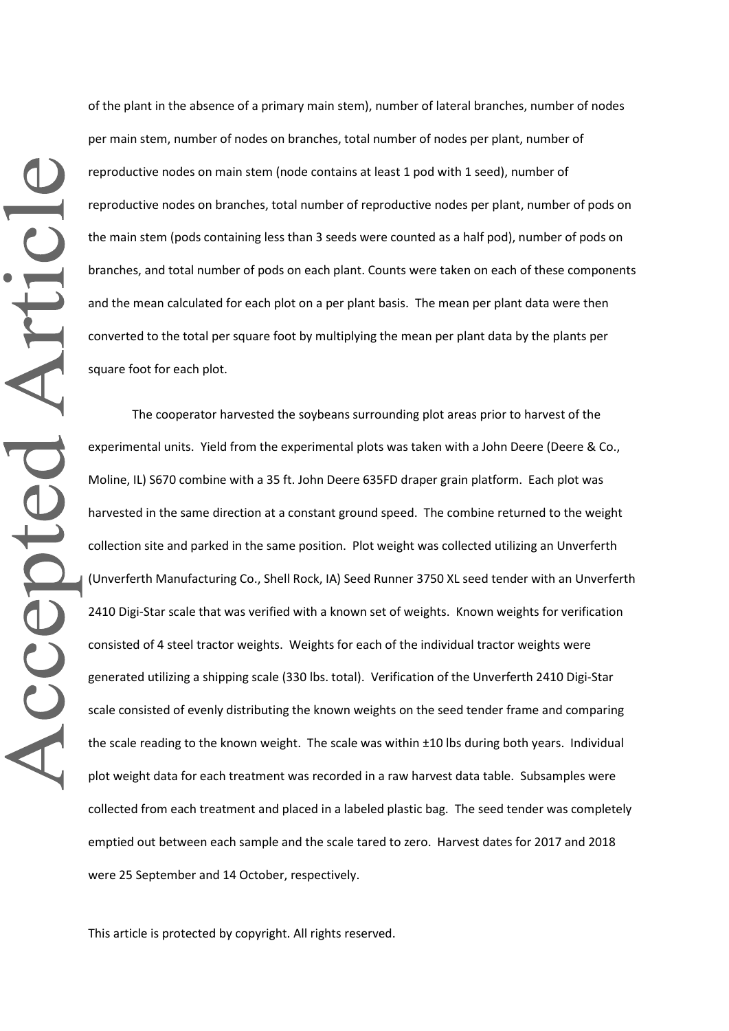of the plant in the absence of a primary main stem), number of lateral branches, number of nodes per main stem, number of nodes on branches, total number of nodes per plant, number of reproductive nodes on main stem (node contains at least 1 pod with 1 seed), number of reproductive nodes on branches, total number of reproductive nodes per plant, number of pods on the main stem (pods containing less than 3 seeds were counted as a half pod), number of pods on branches, and total number of pods on each plant. Counts were taken on each of these components and the mean calculated for each plot on a per plant basis. The mean per plant data were then converted to the total per square foot by multiplying the mean per plant data by the plants per square foot for each plot.

The cooperator harvested the soybeans surrounding plot areas prior to harvest of the experimental units. Yield from the experimental plots was taken with a John Deere (Deere & Co., Moline, IL) S670 combine with a 35 ft. John Deere 635FD draper grain platform. Each plot was harvested in the same direction at a constant ground speed. The combine returned to the weight collection site and parked in the same position. Plot weight was collected utilizing an Unverferth (Unverferth Manufacturing Co., Shell Rock, IA) Seed Runner 3750 XL seed tender with an Unverferth 2410 Digi-Star scale that was verified with a known set of weights. Known weights for verification consisted of 4 steel tractor weights. Weights for each of the individual tractor weights were generated utilizing a shipping scale (330 lbs. total). Verification of the Unverferth 2410 Digi-Star scale consisted of evenly distributing the known weights on the seed tender frame and comparing the scale reading to the known weight. The scale was within ±10 lbs during both years. Individual plot weight data for each treatment was recorded in a raw harvest data table. Subsamples were collected from each treatment and placed in a labeled plastic bag. The seed tender was completely emptied out between each sample and the scale tared to zero. Harvest dates for 2017 and 2018 were 25 September and 14 October, respectively.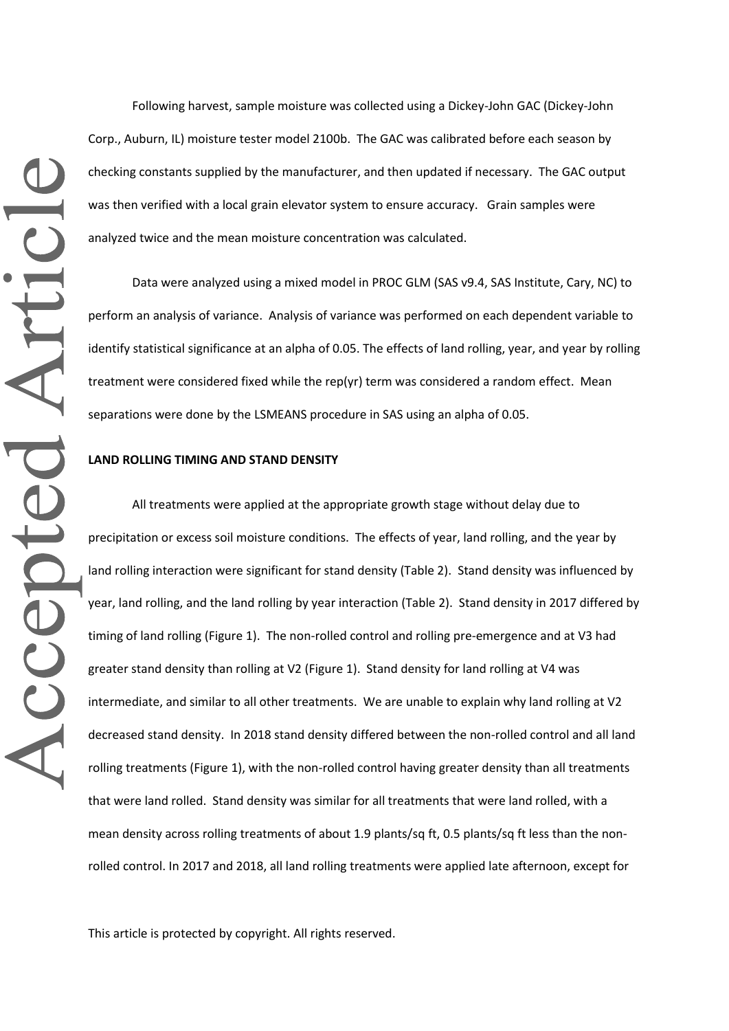Following harvest, sample moisture was collected using a Dickey-John GAC (Dickey-John Corp., Auburn, IL) moisture tester model 2100b. The GAC was calibrated before each season by checking constants supplied by the manufacturer, and then updated if necessary. The GAC output was then verified with a local grain elevator system to ensure accuracy. Grain samples were analyzed twice and the mean moisture concentration was calculated.

Data were analyzed using a mixed model in PROC GLM (SAS v9.4, SAS Institute, Cary, NC) to perform an analysis of variance. Analysis of variance was performed on each dependent variable to identify statistical significance at an alpha of 0.05. The effects of land rolling, year, and year by rolling treatment were considered fixed while the rep(yr) term was considered a random effect. Mean separations were done by the LSMEANS procedure in SAS using an alpha of 0.05.

#### **LAND ROLLING TIMING AND STAND DENSITY**

All treatments were applied at the appropriate growth stage without delay due to precipitation or excess soil moisture conditions. The effects of year, land rolling, and the year by land rolling interaction were significant for stand density (Table 2). Stand density was influenced by year, land rolling, and the land rolling by year interaction (Table 2). Stand density in 2017 differed by timing of land rolling (Figure 1). The non-rolled control and rolling pre-emergence and at V3 had greater stand density than rolling at V2 (Figure 1). Stand density for land rolling at V4 was intermediate, and similar to all other treatments. We are unable to explain why land rolling at V2 decreased stand density. In 2018 stand density differed between the non-rolled control and all land rolling treatments (Figure 1), with the non-rolled control having greater density than all treatments that were land rolled. Stand density was similar for all treatments that were land rolled, with a mean density across rolling treatments of about 1.9 plants/sq ft, 0.5 plants/sq ft less than the nonrolled control. In 2017 and 2018, all land rolling treatments were applied late afternoon, except for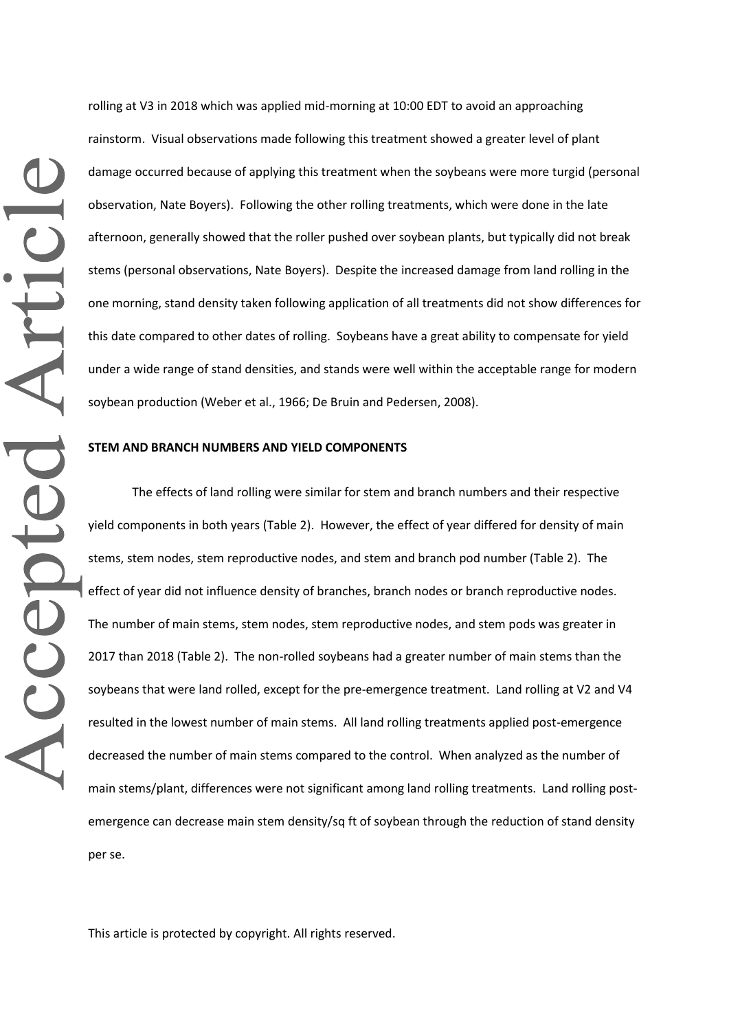rolling at V3 in 2018 which was applied mid-morning at 10:00 EDT to avoid an approaching rainstorm. Visual observations made following this treatment showed a greater level of plant damage occurred because of applying this treatment when the soybeans were more turgid (personal observation, Nate Boyers). Following the other rolling treatments, which were done in the late afternoon, generally showed that the roller pushed over soybean plants, but typically did not break stems (personal observations, Nate Boyers). Despite the increased damage from land rolling in the one morning, stand density taken following application of all treatments did not show differences for this date compared to other dates of rolling. Soybeans have a great ability to compensate for yield under a wide range of stand densities, and stands were well within the acceptable range for modern soybean production (Weber et al., 1966; De Bruin and Pedersen, 2008).

#### **STEM AND BRANCH NUMBERS AND YIELD COMPONENTS**

The effects of land rolling were similar for stem and branch numbers and their respective yield components in both years (Table 2). However, the effect of year differed for density of main stems, stem nodes, stem reproductive nodes, and stem and branch pod number (Table 2). The effect of year did not influence density of branches, branch nodes or branch reproductive nodes. The number of main stems, stem nodes, stem reproductive nodes, and stem pods was greater in 2017 than 2018 (Table 2). The non-rolled soybeans had a greater number of main stems than the soybeans that were land rolled, except for the pre-emergence treatment. Land rolling at V2 and V4 resulted in the lowest number of main stems. All land rolling treatments applied post-emergence decreased the number of main stems compared to the control. When analyzed as the number of main stems/plant, differences were not significant among land rolling treatments. Land rolling postemergence can decrease main stem density/sq ft of soybean through the reduction of stand density per se.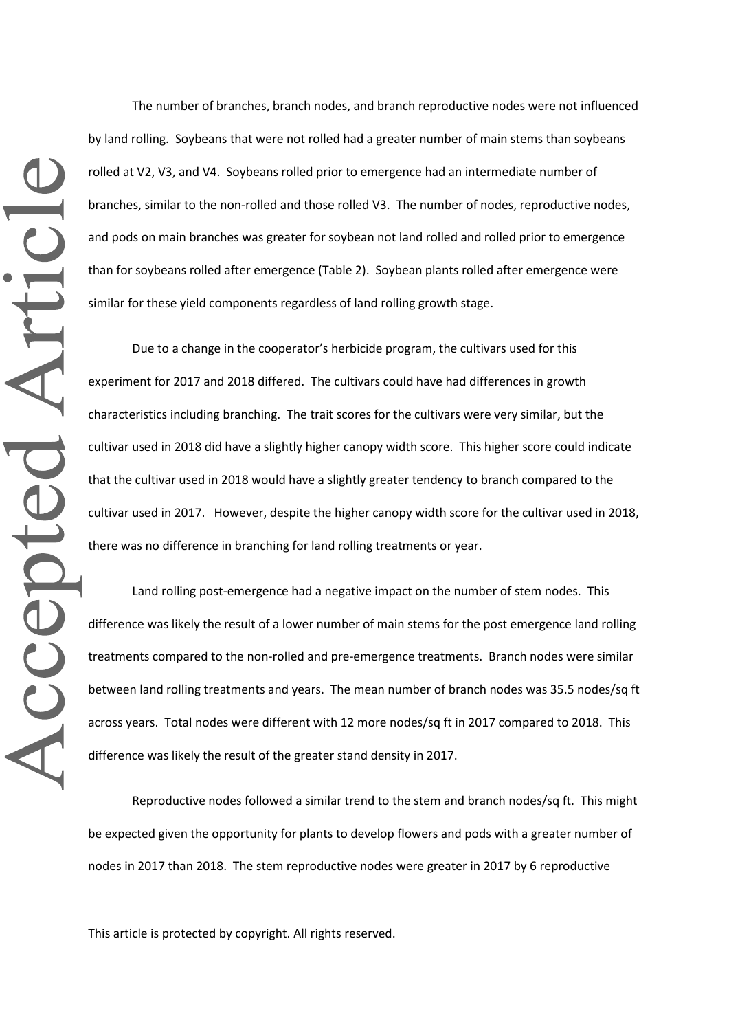The number of branches, branch nodes, and branch reproductive nodes were not influenced by land rolling. Soybeans that were not rolled had a greater number of main stems than soybeans rolled at V2, V3, and V4. Soybeans rolled prior to emergence had an intermediate number of branches, similar to the non-rolled and those rolled V3. The number of nodes, reproductive nodes, and pods on main branches was greater for soybean not land rolled and rolled prior to emergence than for soybeans rolled after emergence (Table 2). Soybean plants rolled after emergence were similar for these yield components regardless of land rolling growth stage.

Due to a change in the cooperator's herbicide program, the cultivars used for this experiment for 2017 and 2018 differed. The cultivars could have had differences in growth characteristics including branching. The trait scores for the cultivars were very similar, but the cultivar used in 2018 did have a slightly higher canopy width score. This higher score could indicate that the cultivar used in 2018 would have a slightly greater tendency to branch compared to the cultivar used in 2017. However, despite the higher canopy width score for the cultivar used in 2018, there was no difference in branching for land rolling treatments or year.

Land rolling post-emergence had a negative impact on the number of stem nodes. This difference was likely the result of a lower number of main stems for the post emergence land rolling treatments compared to the non-rolled and pre-emergence treatments. Branch nodes were similar between land rolling treatments and years. The mean number of branch nodes was 35.5 nodes/sq ft across years. Total nodes were different with 12 more nodes/sq ft in 2017 compared to 2018. This difference was likely the result of the greater stand density in 2017.

Reproductive nodes followed a similar trend to the stem and branch nodes/sq ft. This might be expected given the opportunity for plants to develop flowers and pods with a greater number of nodes in 2017 than 2018. The stem reproductive nodes were greater in 2017 by 6 reproductive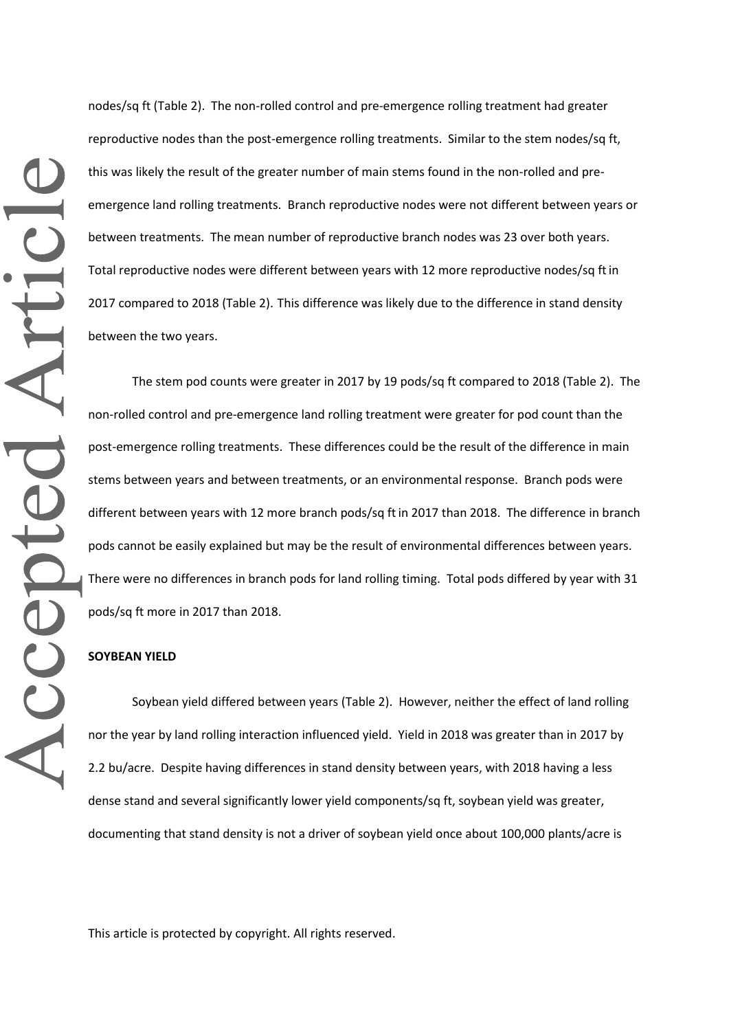nodes/sq ft (Table 2). The non-rolled control and pre-emergence rolling treatment had greater reproductive nodes than the post-emergence rolling treatments. Similar to the stem nodes/sq ft, this was likely the result of the greater number of main stems found in the non-rolled and preemergence land rolling treatments. Branch reproductive nodes were not different between years or between treatments. The mean number of reproductive branch nodes was 23 over both years. Total reproductive nodes were different between years with 12 more reproductive nodes/sq ftin 2017 compared to 2018 (Table 2). This difference was likely due to the difference in stand density between the two years.

The stem pod counts were greater in 2017 by 19 pods/sq ft compared to 2018 (Table 2). The non-rolled control and pre-emergence land rolling treatment were greater for pod count than the post-emergence rolling treatments. These differences could be the result of the difference in main stems between years and between treatments, or an environmental response. Branch pods were different between years with 12 more branch pods/sq ftin 2017 than 2018. The difference in branch pods cannot be easily explained but may be the result of environmental differences between years. There were no differences in branch pods for land rolling timing. Total pods differed by year with 31 pods/sq ft more in 2017 than 2018.

#### **SOYBEAN YIELD**

Soybean yield differed between years (Table 2). However, neither the effect of land rolling nor the year by land rolling interaction influenced yield. Yield in 2018 was greater than in 2017 by 2.2 bu/acre. Despite having differences in stand density between years, with 2018 having a less dense stand and several significantly lower yield components/sq ft, soybean yield was greater, documenting that stand density is not a driver of soybean yield once about 100,000 plants/acre is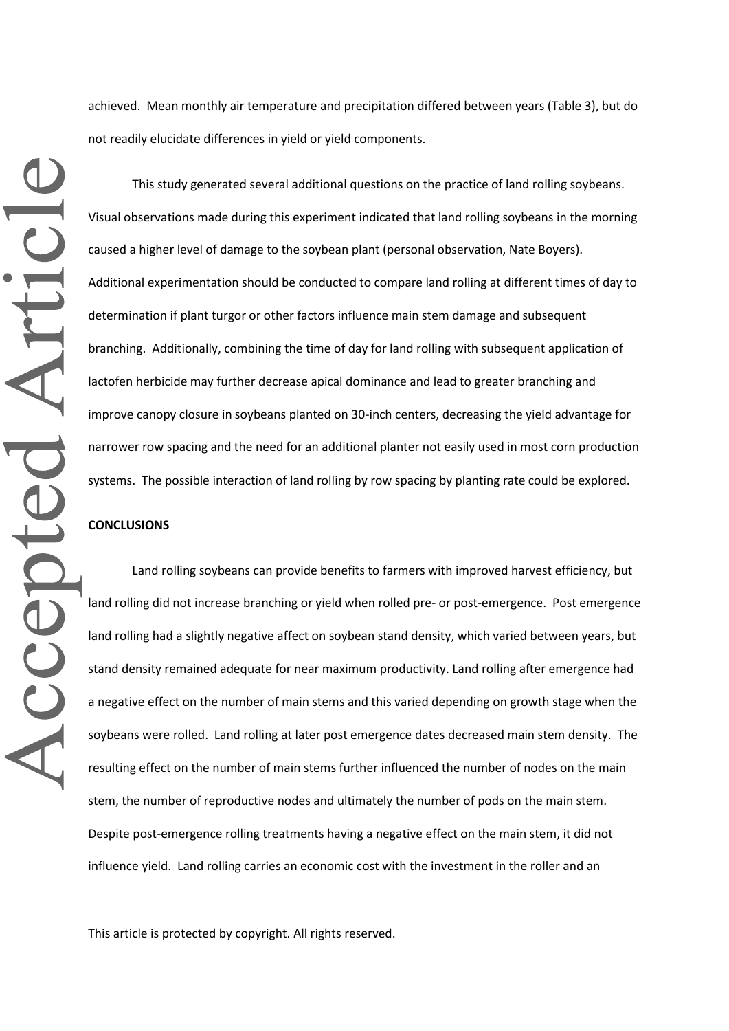achieved. Mean monthly air temperature and precipitation differed between years (Table 3), but do not readily elucidate differences in yield or yield components.

Accepted Articl

This study generated several additional questions on the practice of land rolling soybeans. Visual observations made during this experiment indicated that land rolling soybeans in the morning caused a higher level of damage to the soybean plant (personal observation, Nate Boyers). Additional experimentation should be conducted to compare land rolling at different times of day to determination if plant turgor or other factors influence main stem damage and subsequent branching. Additionally, combining the time of day for land rolling with subsequent application of lactofen herbicide may further decrease apical dominance and lead to greater branching and improve canopy closure in soybeans planted on 30-inch centers, decreasing the yield advantage for narrower row spacing and the need for an additional planter not easily used in most corn production systems. The possible interaction of land rolling by row spacing by planting rate could be explored.

### **CONCLUSIONS**

Land rolling soybeans can provide benefits to farmers with improved harvest efficiency, but land rolling did not increase branching or yield when rolled pre- or post-emergence. Post emergence land rolling had a slightly negative affect on soybean stand density, which varied between years, but stand density remained adequate for near maximum productivity. Land rolling after emergence had a negative effect on the number of main stems and this varied depending on growth stage when the soybeans were rolled. Land rolling at later post emergence dates decreased main stem density. The resulting effect on the number of main stems further influenced the number of nodes on the main stem, the number of reproductive nodes and ultimately the number of pods on the main stem. Despite post-emergence rolling treatments having a negative effect on the main stem, it did not influence yield. Land rolling carries an economic cost with the investment in the roller and an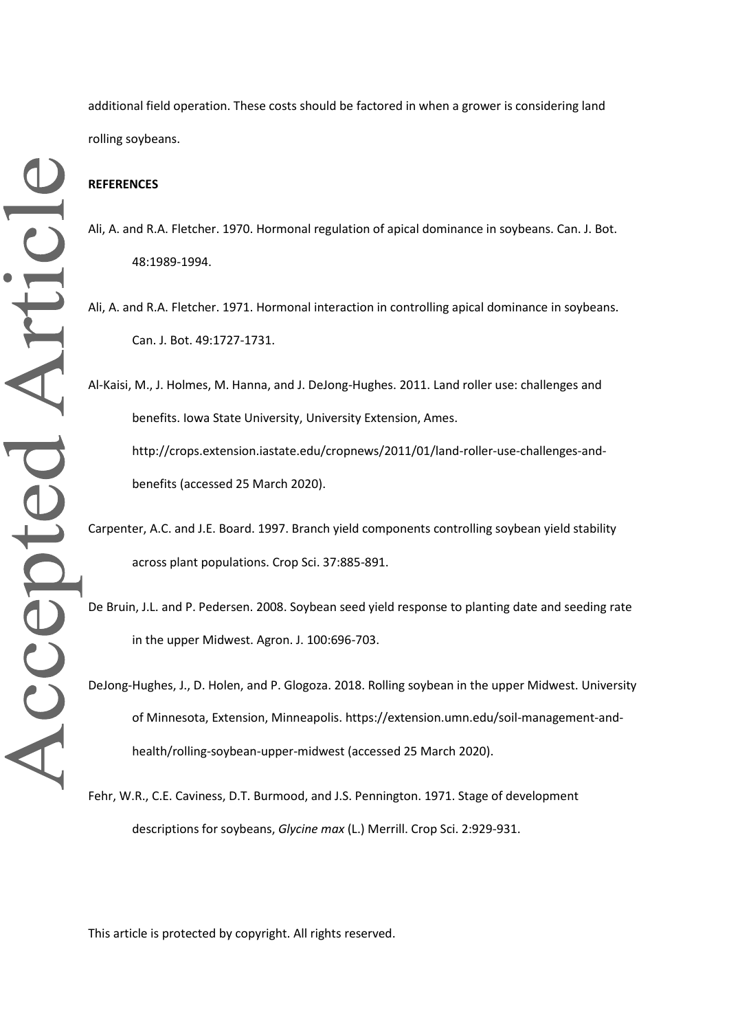Accepted Article

additional field operation. These costs should be factored in when a grower is considering land rolling soybeans.

# **REFERENCES**

- Ali, A. and R.A. Fletcher. 1970. Hormonal regulation of apical dominance in soybeans. Can. J. Bot. 48:1989-1994.
- Ali, A. and R.A. Fletcher. 1971. Hormonal interaction in controlling apical dominance in soybeans. Can. J. Bot. 49:1727-1731.

Al-Kaisi, M., J. Holmes, M. Hanna, and J. DeJong-Hughes. 2011. Land roller use: challenges and benefits. Iowa State University, University Extension, Ames. http://crops.extension.iastate.edu/cropnews/2011/01/land-roller-use-challenges-andbenefits (accessed 25 March 2020).

Carpenter, A.C. and J.E. Board. 1997. Branch yield components controlling soybean yield stability across plant populations. Crop Sci. 37:885-891.

De Bruin, J.L. and P. Pedersen. 2008. Soybean seed yield response to planting date and seeding rate in the upper Midwest. Agron. J. 100:696-703.

DeJong-Hughes, J., D. Holen, and P. Glogoza. 2018. Rolling soybean in the upper Midwest. University of Minnesota, Extension, Minneapolis. https://extension.umn.edu/soil-management-andhealth/rolling-soybean-upper-midwest (accessed 25 March 2020).

Fehr, W.R., C.E. Caviness, D.T. Burmood, and J.S. Pennington. 1971. Stage of development descriptions for soybeans, *Glycine max* (L.) Merrill. Crop Sci. 2:929-931.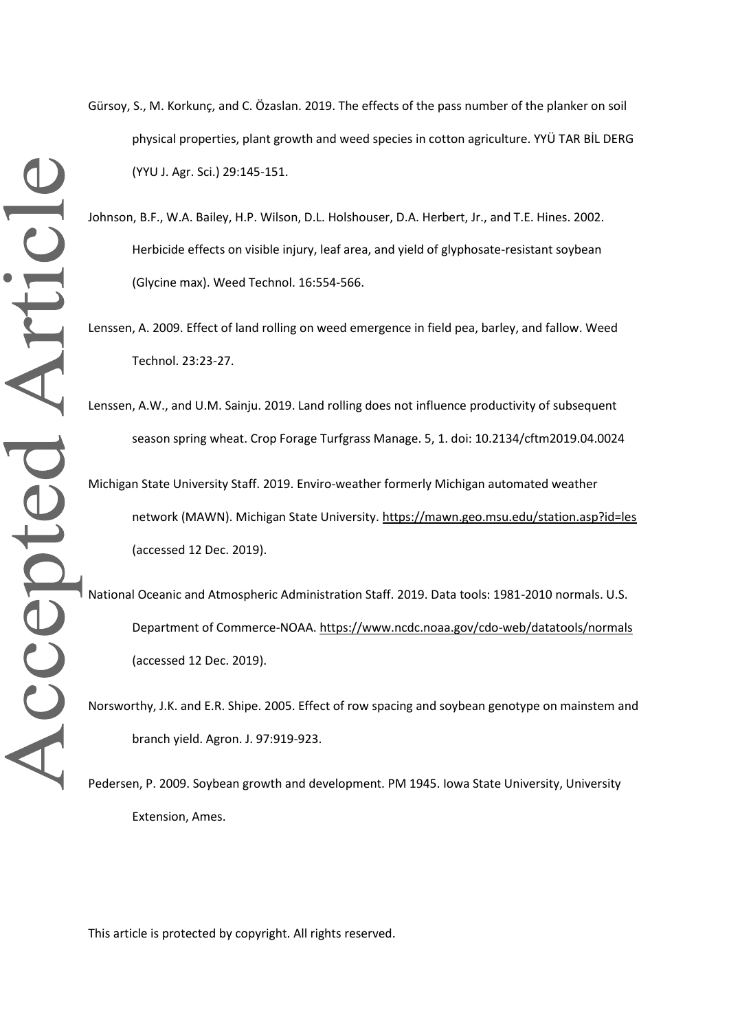- Gürsoy, S., M. Korkunç, and C. Özaslan. 2019. The effects of the pass number of the planker on soil physical properties, plant growth and weed species in cotton agriculture. YYÜ TAR BİL DERG (YYU J. Agr. Sci.) 29:145-151.
- Johnson, B.F., W.A. Bailey, H.P. Wilson, D.L. Holshouser, D.A. Herbert, Jr., and T.E. Hines. 2002. Herbicide effects on visible injury, leaf area, and yield of glyphosate-resistant soybean (Glycine max). Weed Technol. 16:554-566.
- Lenssen, A. 2009. Effect of land rolling on weed emergence in field pea, barley, and fallow. Weed Technol. 23:23-27.
- Lenssen, A.W., and U.M. Sainju. 2019. Land rolling does not influence productivity of subsequent season spring wheat. Crop Forage Turfgrass Manage. 5, 1. doi: 10.2134/cftm2019.04.0024 Michigan State University Staff. 2019. Enviro-weather formerly Michigan automated weather
	- network (MAWN). Michigan State University. https://mawn.geo.msu.edu/station.asp?id=les (accessed 12 Dec. 2019).
- National Oceanic and Atmospheric Administration Staff. 2019. Data tools: 1981-2010 normals. U.S. Department of Commerce-NOAA. https://www.ncdc.noaa.gov/cdo-web/datatools/normals (accessed 12 Dec. 2019).
- Norsworthy, J.K. and E.R. Shipe. 2005. Effect of row spacing and soybean genotype on mainstem and branch yield. Agron. J. 97:919-923.

Pedersen, P. 2009. Soybean growth and development. PM 1945. Iowa State University, University Extension, Ames.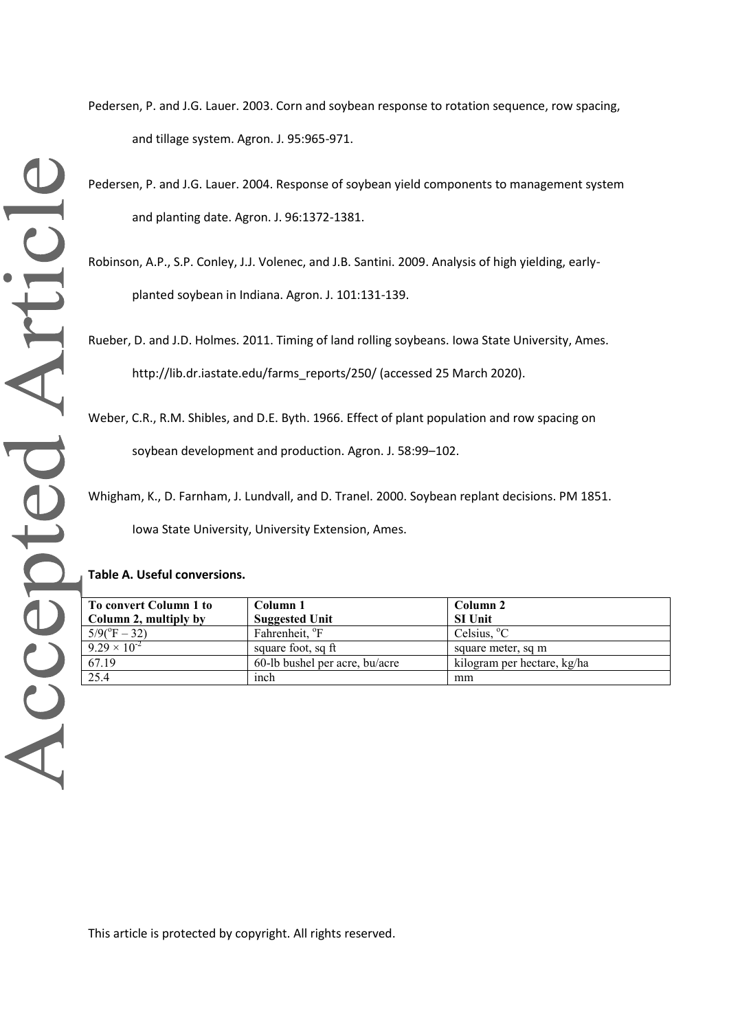Pedersen, P. and J.G. Lauer. 2003. Corn and soybean response to rotation sequence, row spacing, and tillage system. Agron. J. 95:965-971.

Pedersen, P. and J.G. Lauer. 2004. Response of soybean yield components to management system and planting date. Agron. J. 96:1372-1381.

Robinson, A.P., S.P. Conley, J.J. Volenec, and J.B. Santini. 2009. Analysis of high yielding, earlyplanted soybean in Indiana. Agron. J. 101:131-139.

Rueber, D. and J.D. Holmes. 2011. Timing of land rolling soybeans. Iowa State University, Ames. http://lib.dr.iastate.edu/farms\_reports/250/ (accessed 25 March 2020).

Weber, C.R., R.M. Shibles, and D.E. Byth. 1966. Effect of plant population and row spacing on

soybean development and production. Agron. J. 58:99–102.

Whigham, K., D. Farnham, J. Lundvall, and D. Tranel. 2000. Soybean replant decisions. PM 1851. Iowa State University, University Extension, Ames.

#### **Table A. Useful conversions.**

| To convert Column 1 to       | Column 1                       | Column 2                    |
|------------------------------|--------------------------------|-----------------------------|
| Column 2, multiply by        | <b>Suggested Unit</b>          | <b>SI Unit</b>              |
| $5/9(^{\circ}\text{F} - 32)$ | Fahrenheit, <sup>o</sup> F     | Celsius, $^{\circ}$ C       |
| $9.29 \times 10^{-2}$        | square foot, sq ft             | square meter, sq m          |
| 67.19                        | 60-lb bushel per acre, bu/acre | kilogram per hectare, kg/ha |
| 25.4                         | inch                           | mm                          |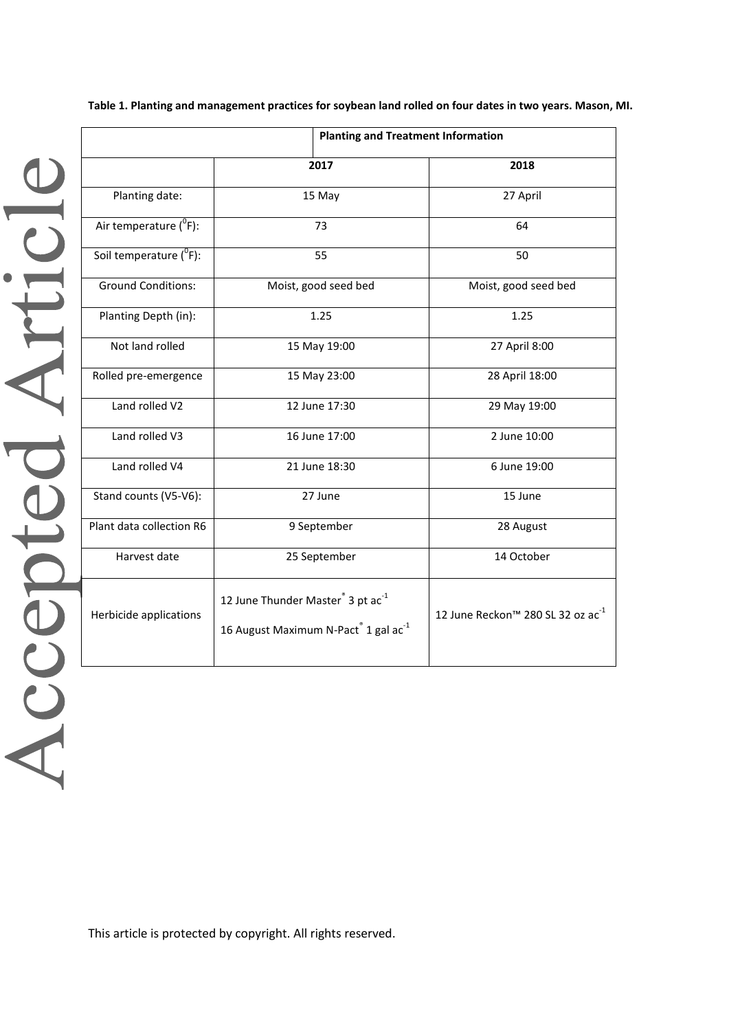**Table 1. Planting and management practices for soybean land rolled on four dates in two years. Mason, MI.**

|                                     | <b>Planting and Treatment Information</b>                                                                                 |                                               |  |  |  |  |  |  |
|-------------------------------------|---------------------------------------------------------------------------------------------------------------------------|-----------------------------------------------|--|--|--|--|--|--|
|                                     | 2017                                                                                                                      | 2018                                          |  |  |  |  |  |  |
| Planting date:                      | 15 May                                                                                                                    | 27 April                                      |  |  |  |  |  |  |
| Air temperature $(^0F)$ :           | 73                                                                                                                        | 64                                            |  |  |  |  |  |  |
| Soil temperature ( <sup>°</sup> F): | 55                                                                                                                        | 50                                            |  |  |  |  |  |  |
| <b>Ground Conditions:</b>           | Moist, good seed bed                                                                                                      | Moist, good seed bed                          |  |  |  |  |  |  |
| Planting Depth (in):                | 1.25                                                                                                                      | 1.25                                          |  |  |  |  |  |  |
| Not land rolled                     | 15 May 19:00                                                                                                              | 27 April 8:00                                 |  |  |  |  |  |  |
| Rolled pre-emergence                | 15 May 23:00                                                                                                              | 28 April 18:00                                |  |  |  |  |  |  |
| Land rolled V2                      | 12 June 17:30                                                                                                             | 29 May 19:00                                  |  |  |  |  |  |  |
| Land rolled V3                      | 16 June 17:00                                                                                                             | 2 June 10:00                                  |  |  |  |  |  |  |
| Land rolled V4                      | 21 June 18:30                                                                                                             | 6 June 19:00                                  |  |  |  |  |  |  |
| Stand counts (V5-V6):               | 27 June                                                                                                                   | 15 June                                       |  |  |  |  |  |  |
| Plant data collection R6            | 9 September                                                                                                               | 28 August                                     |  |  |  |  |  |  |
| Harvest date                        | 25 September                                                                                                              | 14 October                                    |  |  |  |  |  |  |
| Herbicide applications              | 12 June Thunder Master <sup>®</sup> 3 pt ac <sup>-1</sup><br>16 August Maximum N-Pact <sup>®</sup> 1 gal ac <sup>-1</sup> | 12 June Reckon™ 280 SL 32 oz ac <sup>-1</sup> |  |  |  |  |  |  |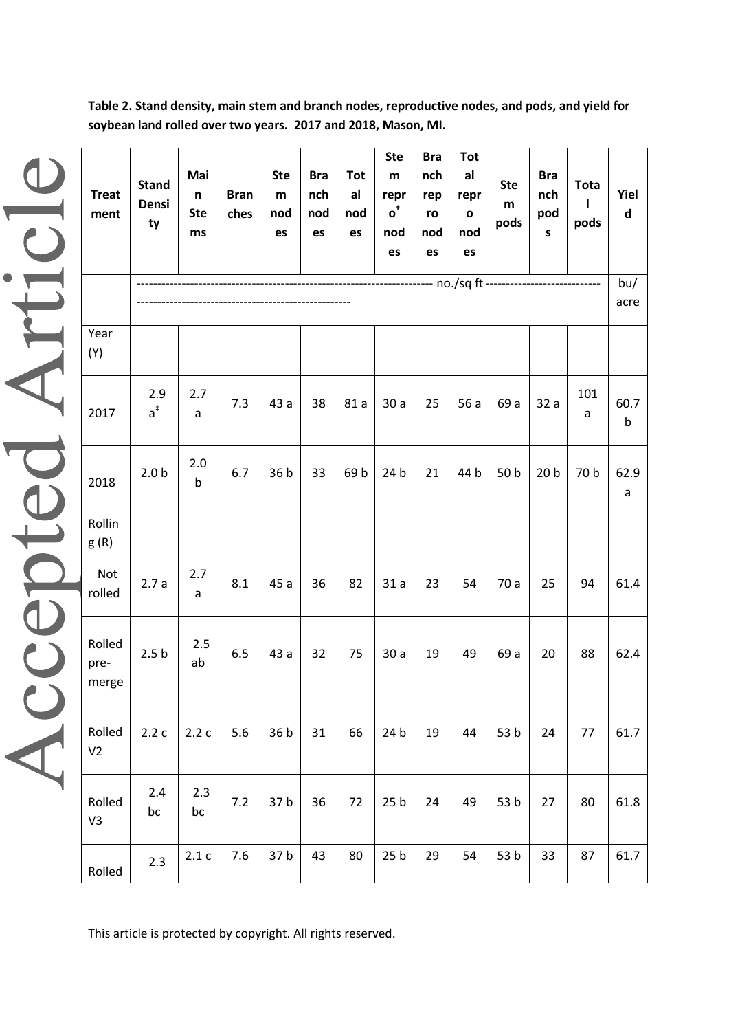**Table 2. Stand density, main stem and branch nodes, reproductive nodes, and pods, and yield for soybean land rolled over two years. 2017 and 2018, Mason, MI.**

| <b>Treat</b><br>ment     | <b>Stand</b><br>Densi<br>ty | Mai<br>$\mathsf n$<br><b>Ste</b><br>ms | <b>Bran</b><br>ches | <b>Ste</b><br>${\sf m}$<br>nod<br>es | <b>Bra</b><br>nch<br>nod<br>es | <b>Tot</b><br>al<br>nod<br>es | <b>Ste</b><br>${\bf m}$<br>repr<br>$\mathbf{o}^*$<br>nod<br>es | <b>Bra</b><br>nch<br>rep<br>ro<br>nod<br>es | <b>Tot</b><br>al<br>repr<br>$\mathbf{o}$<br>nod<br>es | <b>Ste</b><br>${\sf m}$<br>pods | <b>Bra</b><br>nch<br>pod<br>$\sf{s}$ | <b>Tota</b><br>pods | Yiel<br>$\mathsf{d}$ |
|--------------------------|-----------------------------|----------------------------------------|---------------------|--------------------------------------|--------------------------------|-------------------------------|----------------------------------------------------------------|---------------------------------------------|-------------------------------------------------------|---------------------------------|--------------------------------------|---------------------|----------------------|
|                          |                             |                                        |                     |                                      |                                |                               |                                                                |                                             |                                                       |                                 |                                      |                     | bu/<br>acre          |
| Year<br>(Y)              |                             |                                        |                     |                                      |                                |                               |                                                                |                                             |                                                       |                                 |                                      |                     |                      |
| 2017                     | 2.9<br>$a^{\ddagger}$       | 2.7<br>a                               | 7.3                 | 43 a                                 | 38                             | 81 a                          | 30a                                                            | 25                                          | 56 a                                                  | 69 a                            | 32a                                  | 101<br>a            | 60.7<br>$\sf b$      |
| 2018                     | 2.0 <sub>b</sub>            | 2.0<br>b                               | 6.7                 | 36 b                                 | 33                             | 69 b                          | 24 b                                                           | 21                                          | 44 b                                                  | 50 b                            | 20 <sub>b</sub>                      | 70 b                | 62.9<br>$\mathsf{a}$ |
| Rollin<br>g(R)           |                             |                                        |                     |                                      |                                |                               |                                                                |                                             |                                                       |                                 |                                      |                     |                      |
| Not<br>rolled            | 2.7a                        | 2.7<br>a                               | 8.1                 | 45 a                                 | 36                             | 82                            | 31a                                                            | 23                                          | 54                                                    | 70 a                            | 25                                   | 94                  | 61.4                 |
| Rolled<br>pre-<br>merge  | 2.5 <sub>b</sub>            | 2.5<br>ab                              | 6.5                 | 43 a                                 | 32                             | 75                            | 30a                                                            | 19                                          | 49                                                    | 69 a                            | 20                                   | 88                  | 62.4                 |
| Rolled<br>V <sub>2</sub> | 2.2c                        | 2.2c                                   | 5.6                 | 36 b                                 | 31                             | 66                            | 24 b                                                           | 19                                          | 44                                                    | 53 b                            | 24                                   | 77                  | 61.7                 |
| Rolled<br>V3             | 2.4<br>bc                   | 2.3<br>bc                              | 7.2                 | 37 b                                 | 36                             | 72                            | 25 <sub>b</sub>                                                | 24                                          | 49                                                    | 53 b                            | 27                                   | 80                  | 61.8                 |
| Rolled                   | 2.3                         | 2.1c                                   | 7.6                 | 37b                                  | 43                             | 80                            | 25 <sub>b</sub>                                                | 29                                          | 54                                                    | 53 b                            | 33                                   | 87                  | 61.7                 |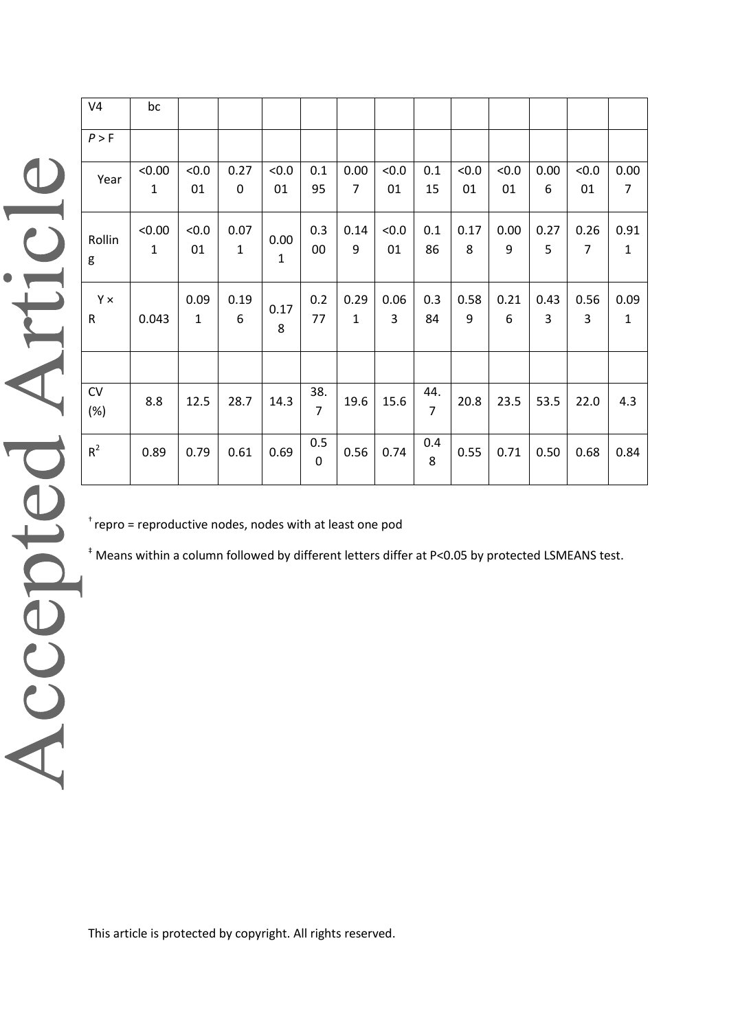| V <sub>4</sub> | bc          |              |             |                      |                |                |                |                |       |      |      |                |                |
|----------------|-------------|--------------|-------------|----------------------|----------------|----------------|----------------|----------------|-------|------|------|----------------|----------------|
| P > F          |             |              |             |                      |                |                |                |                |       |      |      |                |                |
| Year           | < 0.00      | < 0.0        | 0.27        | < 0.0                | 0.1            | 0.00           | < 0.0          | 0.1            | < 0.0 | &0.0 | 0.00 | < 0.0          | 0.00           |
|                | $\mathbf 1$ | 01           | $\mathbf 0$ | 01                   | 95             | $\overline{7}$ | 01             | 15             | 01    | 01   | 6    | 01             | $\overline{7}$ |
|                | < 0.00      | < 0.0        | 0.07        |                      | 0.3            | 0.14           | < 0.0          | 0.1            | 0.17  | 0.00 | 0.27 | 0.26           | 0.91           |
| Rollin<br>g    | $\mathbf 1$ | 01           | $\mathbf 1$ | 0.00<br>$\mathbf{1}$ | $00\,$         | 9              | 01             | 86             | 8     | 9    | 5    | $\overline{7}$ | $\mathbf{1}$   |
|                |             |              |             |                      |                |                |                |                |       |      |      |                |                |
| Y×             |             | 0.09         | 0.19        |                      | 0.2            | 0.29           | 0.06           | 0.3            | 0.58  | 0.21 | 0.43 | 0.56           | 0.09           |
| $\mathsf{R}$   | 0.043       | $\mathbf{1}$ | 6           | 0.17<br>8            | 77             | $\mathbf{1}$   | $\overline{3}$ | 84             | 9     | 6    | 3    | 3              | $\mathbf{1}$   |
|                |             |              |             |                      |                |                |                |                |       |      |      |                |                |
|                |             |              |             |                      |                |                |                |                |       |      |      |                |                |
| CV             | 8.8         | 12.5         | 28.7        | 14.3                 | 38.            | 19.6           | 15.6           | 44.            | 20.8  | 23.5 | 53.5 | 22.0           | 4.3            |
| (%)            |             |              |             |                      | $\overline{7}$ |                |                | $\overline{7}$ |       |      |      |                |                |
| $R^2$          | 0.89        | 0.79         | 0.61        | 0.69                 | 0.5            | 0.56           | 0.74           | 0.4            | 0.55  | 0.71 | 0.50 | 0.68           | 0.84           |
|                |             |              |             |                      | $\mathbf 0$    |                |                | 8              |       |      |      |                |                |
|                |             |              |             |                      |                |                |                |                |       |      |      |                |                |

 $t$  repro = reproductive nodes, nodes with at least one pod

‡ Means within a column followed by different letters differ at P<0.05 by protected LSMEANS test.

Accepted Article